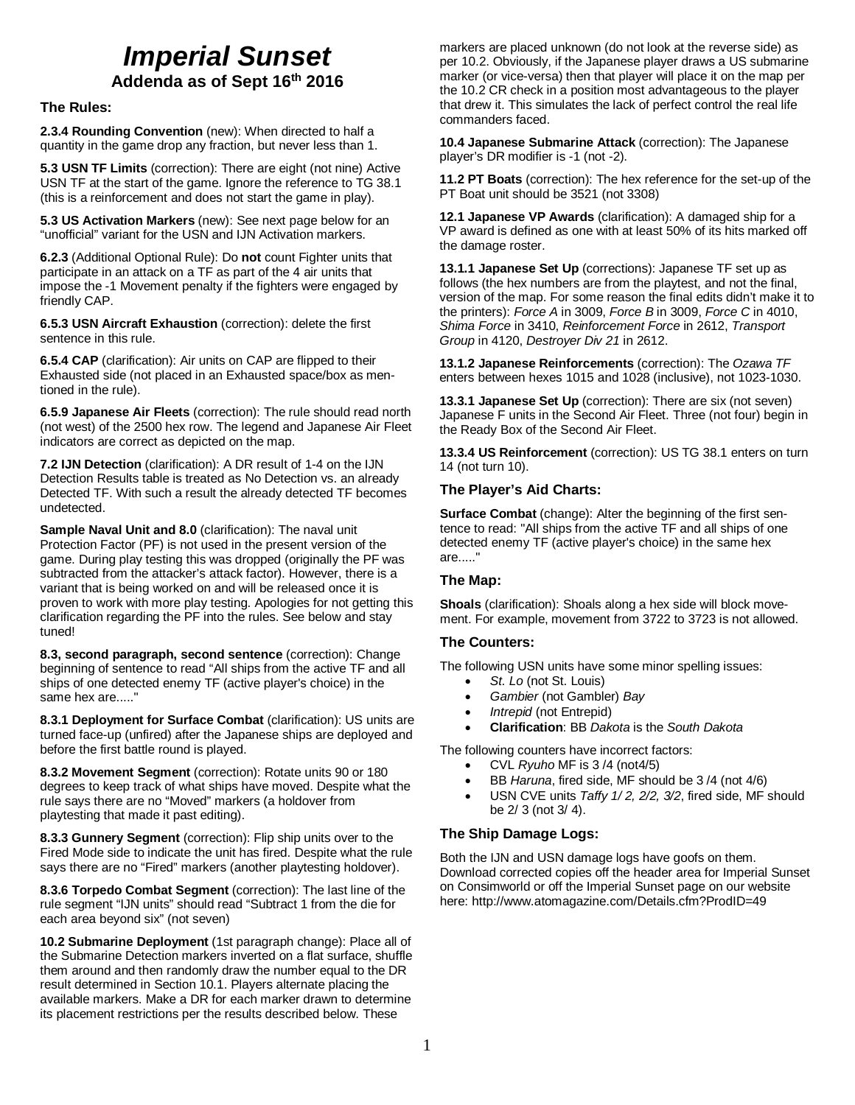# *Imperial Sunset*

**Addenda as of Sept 16th 2016**

**The Rules:**

**2.3.4 Rounding Convention** (new): When directed to half a quantity in the game drop any fraction, but never less than 1.

**5.3 USN TF Limits** (correction): There are eight (not nine) Active USN TF at the start of the game. Ignore the reference to TG 38.1 (this is a reinforcement and does not start the game in play).

**5.3 US Activation Markers** (new): See next page below for an "unofficial" variant for the USN and IJN Activation markers.

**6.2.3** (Additional Optional Rule): Do **not** count Fighter units that participate in an attack on a TF as part of the 4 air units that impose the -1 Movement penalty if the fighters were engaged by friendly CAP.

**6.5.3 USN Aircraft Exhaustion** (correction): delete the first sentence in this rule.

**6.5.4 CAP** (clarification): Air units on CAP are flipped to their Exhausted side (not placed in an Exhausted space/box as mentioned in the rule).

**6.5.9 Japanese Air Fleets** (correction): The rule should read north (not west) of the 2500 hex row. The legend and Japanese Air Fleet indicators are correct as depicted on the map.

**7.2 IJN Detection** (clarification): A DR result of 1-4 on the IJN Detection Results table is treated as No Detection vs. an already Detected TF. With such a result the already detected TF becomes undetected.

**Sample Naval Unit and 8.0** (clarification): The naval unit Protection Factor (PF) is not used in the present version of the game. During play testing this was dropped (originally the PF was subtracted from the attacker's attack factor). However, there is a variant that is being worked on and will be released once it is proven to work with more play testing. Apologies for not getting this clarification regarding the PF into the rules. See below and stay tuned!

**8.3, second paragraph, second sentence** (correction): Change beginning of sentence to read "All ships from the active TF and all ships of one detected enemy TF (active player's choice) in the same hex are....."

**8.3.1 Deployment for Surface Combat** (clarification): US units are turned face-up (unfired) after the Japanese ships are deployed and before the first battle round is played.

**8.3.2 Movement Segment** (correction): Rotate units 90 or 180 degrees to keep track of what ships have moved. Despite what the rule says there are no "Moved" markers (a holdover from playtesting that made it past editing).

**8.3.3 Gunnery Segment** (correction): Flip ship units over to the Fired Mode side to indicate the unit has fired. Despite what the rule says there are no "Fired" markers (another playtesting holdover).

**8.3.6 Torpedo Combat Segment** (correction): The last line of the rule segment "IJN units" should read "Subtract 1 from the die for each area beyond six" (not seven)

**10.2 Submarine Deployment** (1st paragraph change): Place all of the Submarine Detection markers inverted on a flat surface, shuffle them around and then randomly draw the number equal to the DR result determined in Section 10.1. Players alternate placing the available markers. Make a DR for each marker drawn to determine its placement restrictions per the results described below. These

markers are placed unknown (do not look at the reverse side) as per 10.2. Obviously, if the Japanese player draws a US submarine marker (or vice-versa) then that player will place it on the map per the 10.2 CR check in a position most advantageous to the player that drew it. This simulates the lack of perfect control the real life commanders faced.

**10.4 Japanese Submarine Attack** (correction): The Japanese player's DR modifier is -1 (not -2).

**11.2 PT Boats** (correction): The hex reference for the set-up of the PT Boat unit should be 3521 (not 3308)

**12.1 Japanese VP Awards** (clarification): A damaged ship for a VP award is defined as one with at least 50% of its hits marked off the damage roster.

**13.1.1 Japanese Set Up** (corrections): Japanese TF set up as follows (the hex numbers are from the playtest, and not the final, version of the map. For some reason the final edits didn't make it to the printers): *Force A* in 3009, *Force B* in 3009, *Force C* in 4010, *Shima Force* in 3410, *Reinforcement Force* in 2612, *Transport Group* in 4120, *Destroyer Div 21* in 2612.

**13.1.2 Japanese Reinforcements** (correction): The *Ozawa TF* enters between hexes 1015 and 1028 (inclusive), not 1023-1030.

**13.3.1 Japanese Set Up** (correction): There are six (not seven) Japanese F units in the Second Air Fleet. Three (not four) begin in the Ready Box of the Second Air Fleet.

**13.3.4 US Reinforcement** (correction): US TG 38.1 enters on turn 14 (not turn 10).

### **The Player's Aid Charts:**

**Surface Combat** (change): Alter the beginning of the first sentence to read: "All ships from the active TF and all ships of one detected enemy TF (active player's choice) in the same hex are....."

### **The Map:**

**Shoals** (clarification): Shoals along a hex side will block movement. For example, movement from 3722 to 3723 is not allowed.

### **The Counters:**

The following USN units have some minor spelling issues:

- *St. Lo* (not St. Louis)
- *Gambier* (not Gambler) *Bay*
- *Intrepid* (not Entrepid)
- **Clarification**: BB *Dakota* is the *South Dakota*

The following counters have incorrect factors:

- CVL *Ryuho* MF is 3 /4 (not4/5)
- BB *Haruna*, fired side, MF should be 3 /4 (not 4/6)
- USN CVE units *Taffy 1/ 2, 2/2, 3/2*, fired side, MF should be 2/ 3 (not 3/ 4).

### **The Ship Damage Logs:**

Both the IJN and USN damage logs have goofs on them. Download corrected copies off the header area for Imperial Sunset on Consimworld or off the Imperial Sunset page on our website here: http://www.atomagazine.com/Details.cfm?ProdID=49